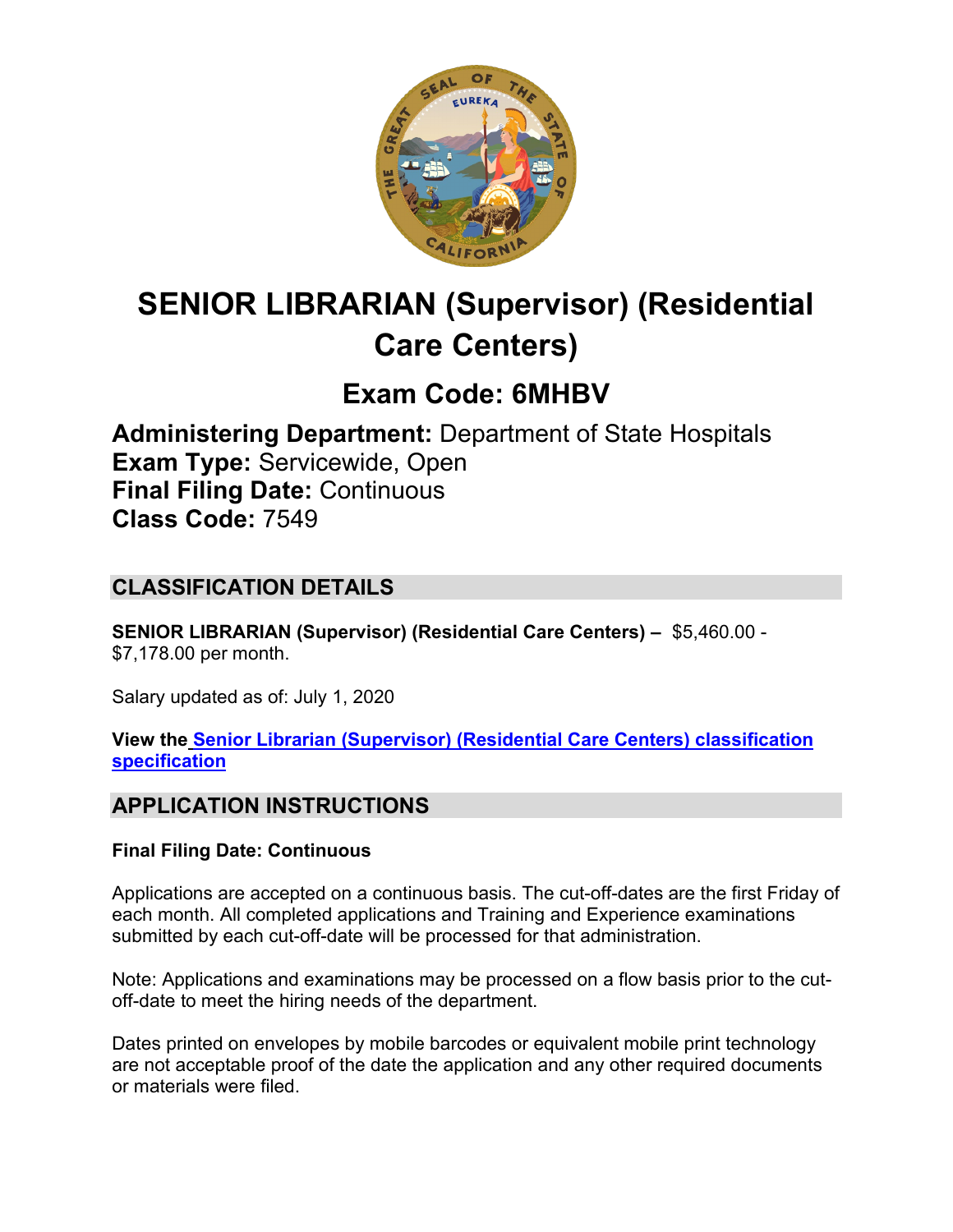

# **SENIOR LIBRARIAN (Supervisor) (Residential Care Centers)**

## **Exam Code: 6MHBV**

**Administering Department:** Department of State Hospitals **Exam Type:** Servicewide, Open **Final Filing Date:** Continuous **Class Code:** 7549

## **CLASSIFICATION DETAILS**

**SENIOR LIBRARIAN (Supervisor) (Residential Care Centers) –** \$5,460.00 - \$7,178.00 per month.

Salary updated as of: July 1, 2020

**View the [Senior Librarian \(Supervisor\) \(Residential Care Centers\)](https://www.calhr.ca.gov/state-hr-professionals/Pages/7548.aspx) classification [specification](https://www.calhr.ca.gov/state-hr-professionals/Pages/7548.aspx)**

## **APPLICATION INSTRUCTIONS**

#### **Final Filing Date: Continuous**

Applications are accepted on a continuous basis. The cut-off-dates are the first Friday of each month. All completed applications and Training and Experience examinations submitted by each cut-off-date will be processed for that administration.

Note: Applications and examinations may be processed on a flow basis prior to the cutoff-date to meet the hiring needs of the department.

Dates printed on envelopes by mobile barcodes or equivalent mobile print technology are not acceptable proof of the date the application and any other required documents or materials were filed.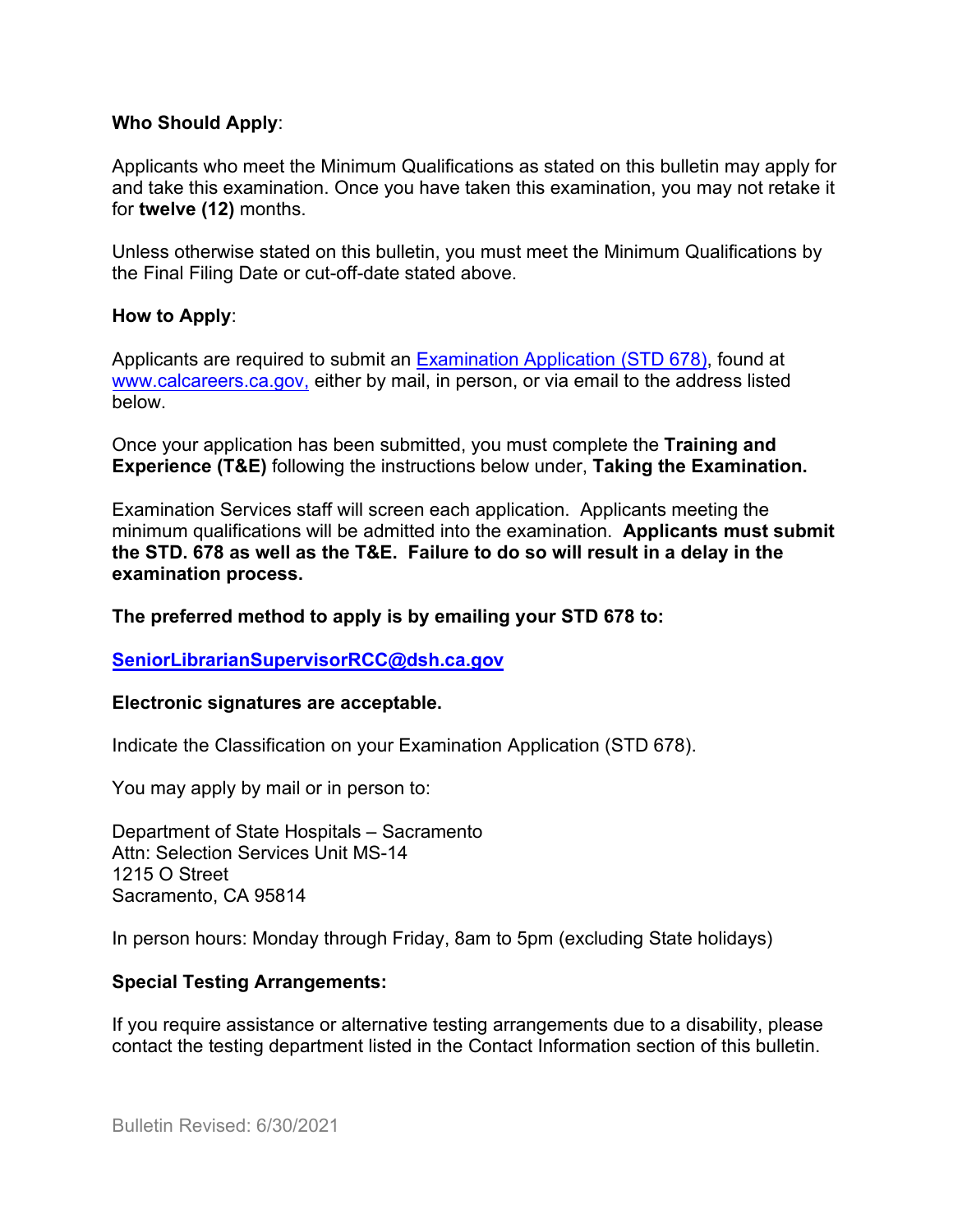#### **Who Should Apply**:

Applicants who meet the Minimum Qualifications as stated on this bulletin may apply for and take this examination. Once you have taken this examination, you may not retake it for **twelve (12)** months.

Unless otherwise stated on this bulletin, you must meet the Minimum Qualifications by the Final Filing Date or cut-off-date stated above.

#### **How to Apply**:

Applicants are required to submit a[n Examination Application \(STD 678\),](https://jobs.ca.gov/pdf/std678.pdf) found at [www.calcareers.ca.gov,](http://www.calcareers.ca.gov/) either by mail, in person, or via email to the address listed below.

Once your application has been submitted, you must complete the **Training and Experience (T&E)** following the instructions below under, **Taking the Examination.**

Examination Services staff will screen each application. Applicants meeting the minimum qualifications will be admitted into the examination. **Applicants must submit the STD. 678 as well as the T&E. Failure to do so will result in a delay in the examination process.**

**The preferred method to apply is by emailing your STD 678 to:**

#### **[SeniorLibrarianSupervisorRCC@dsh.ca.gov](mailto:SeniorLibrarianSupervisorRCC@dsh.ca.gov)**

#### **Electronic signatures are acceptable.**

Indicate the Classification on your Examination Application (STD 678).

You may apply by mail or in person to:

Department of State Hospitals – Sacramento Attn: Selection Services Unit MS-14 1215 O Street Sacramento, CA 95814

In person hours: Monday through Friday, 8am to 5pm (excluding State holidays)

#### **Special Testing Arrangements:**

If you require assistance or alternative testing arrangements due to a disability, please contact the testing department listed in the Contact Information section of this bulletin.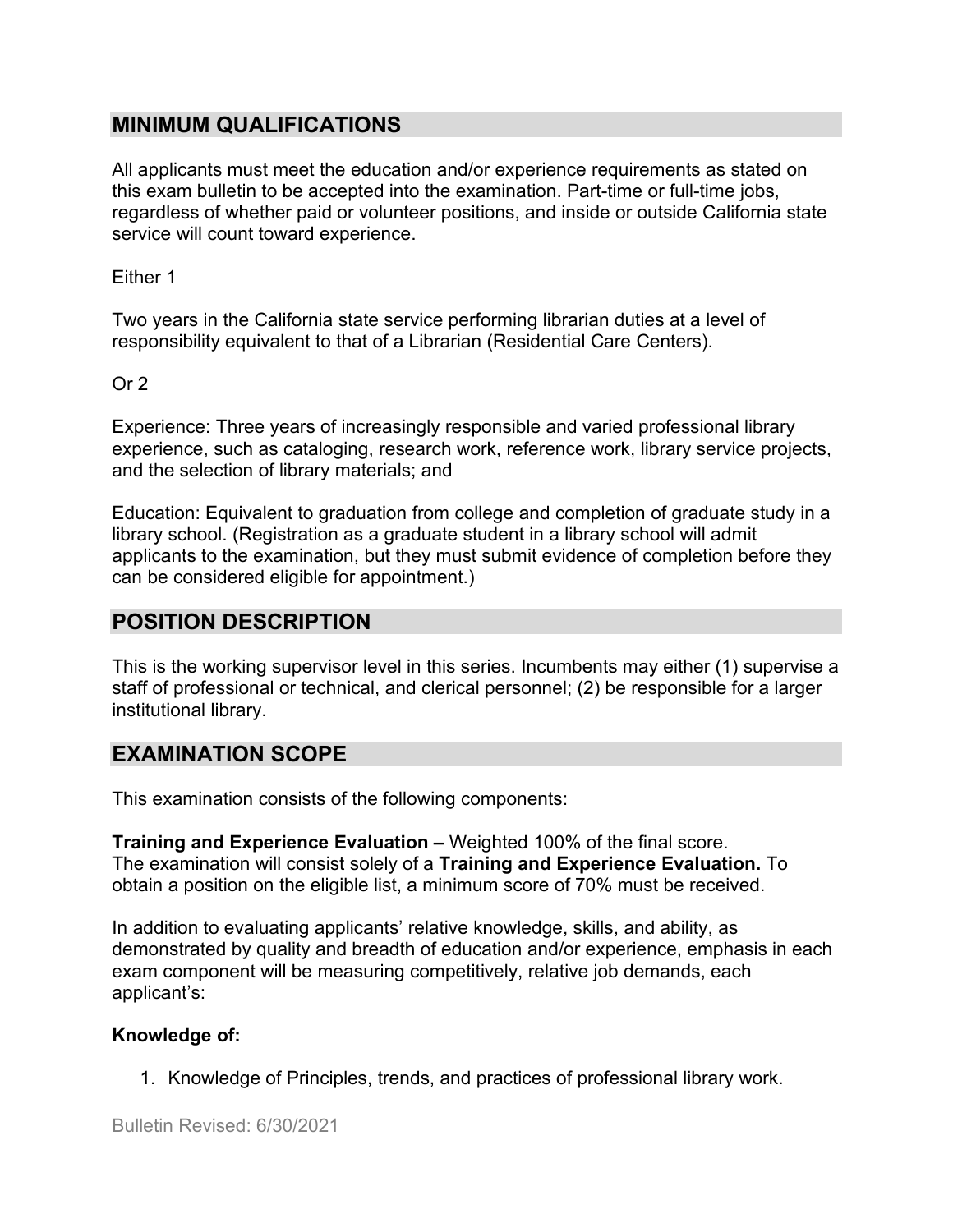## **MINIMUM QUALIFICATIONS**

All applicants must meet the education and/or experience requirements as stated on this exam bulletin to be accepted into the examination. Part-time or full-time jobs, regardless of whether paid or volunteer positions, and inside or outside California state service will count toward experience.

Either 1

Two years in the California state service performing librarian duties at a level of responsibility equivalent to that of a Librarian (Residential Care Centers).

Or 2

Experience: Three years of increasingly responsible and varied professional library experience, such as cataloging, research work, reference work, library service projects, and the selection of library materials; and

Education: Equivalent to graduation from college and completion of graduate study in a library school. (Registration as a graduate student in a library school will admit applicants to the examination, but they must submit evidence of completion before they can be considered eligible for appointment.)

## **POSITION DESCRIPTION**

This is the working supervisor level in this series. Incumbents may either (1) supervise a staff of professional or technical, and clerical personnel; (2) be responsible for a larger institutional library.

## **EXAMINATION SCOPE**

This examination consists of the following components:

**Training and Experience Evaluation –** Weighted 100% of the final score. The examination will consist solely of a **Training and Experience Evaluation.** To obtain a position on the eligible list, a minimum score of 70% must be received.

In addition to evaluating applicants' relative knowledge, skills, and ability, as demonstrated by quality and breadth of education and/or experience, emphasis in each exam component will be measuring competitively, relative job demands, each applicant's:

#### **Knowledge of:**

1. Knowledge of Principles, trends, and practices of professional library work.

Bulletin Revised: 6/30/2021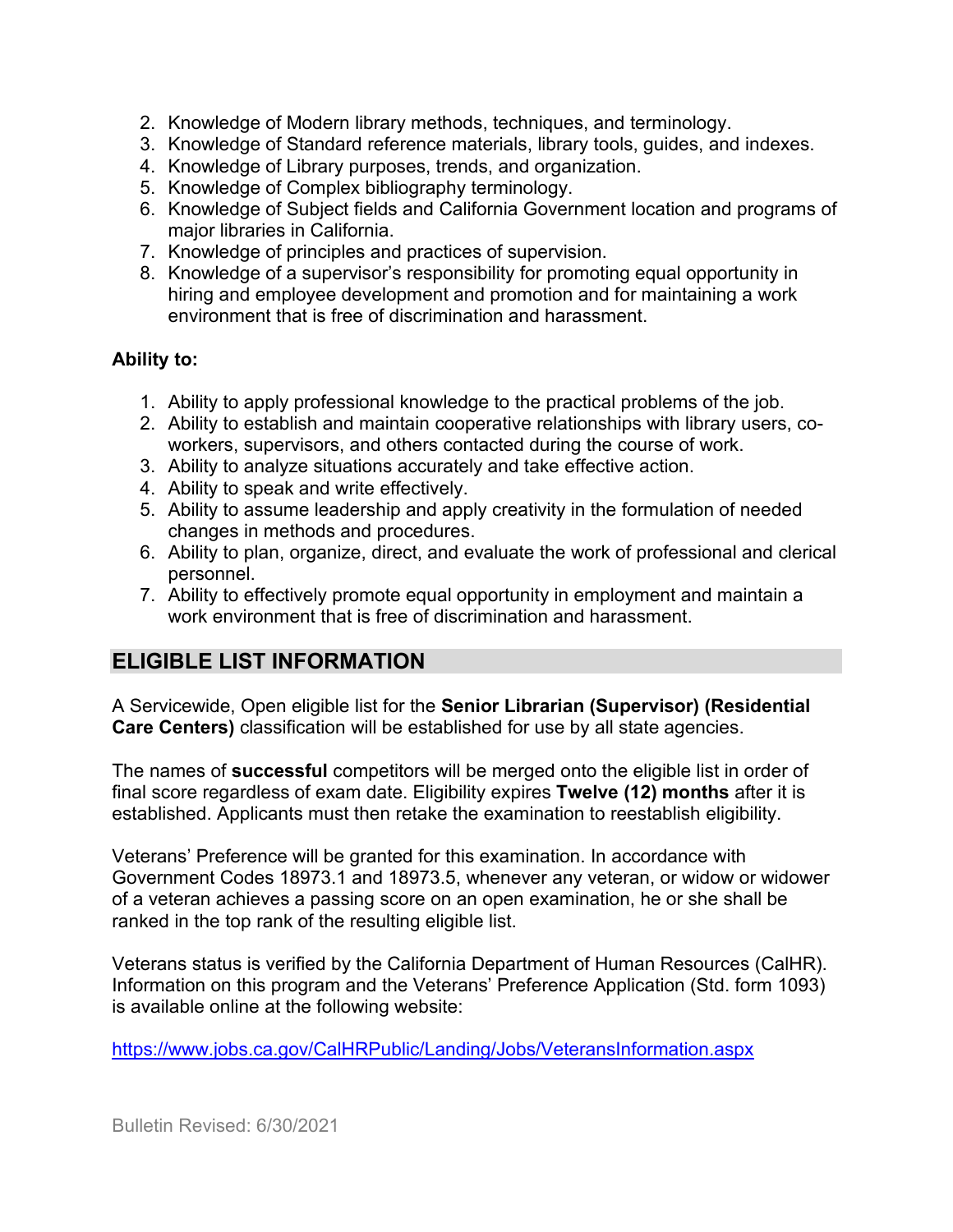- 2. Knowledge of Modern library methods, techniques, and terminology.
- 3. Knowledge of Standard reference materials, library tools, guides, and indexes.
- 4. Knowledge of Library purposes, trends, and organization.
- 5. Knowledge of Complex bibliography terminology.
- 6. Knowledge of Subject fields and California Government location and programs of major libraries in California.
- 7. Knowledge of principles and practices of supervision.
- 8. Knowledge of a supervisor's responsibility for promoting equal opportunity in hiring and employee development and promotion and for maintaining a work environment that is free of discrimination and harassment.

#### **Ability to:**

- 1. Ability to apply professional knowledge to the practical problems of the job.
- 2. Ability to establish and maintain cooperative relationships with library users, coworkers, supervisors, and others contacted during the course of work.
- 3. Ability to analyze situations accurately and take effective action.
- 4. Ability to speak and write effectively.
- 5. Ability to assume leadership and apply creativity in the formulation of needed changes in methods and procedures.
- 6. Ability to plan, organize, direct, and evaluate the work of professional and clerical personnel.
- 7. Ability to effectively promote equal opportunity in employment and maintain a work environment that is free of discrimination and harassment.

## **ELIGIBLE LIST INFORMATION**

A Servicewide, Open eligible list for the **Senior Librarian (Supervisor) (Residential Care Centers)** classification will be established for use by all state agencies.

The names of **successful** competitors will be merged onto the eligible list in order of final score regardless of exam date. Eligibility expires **Twelve (12) months** after it is established. Applicants must then retake the examination to reestablish eligibility.

Veterans' Preference will be granted for this examination. In accordance with Government Codes 18973.1 and 18973.5, whenever any veteran, or widow or widower of a veteran achieves a passing score on an open examination, he or she shall be ranked in the top rank of the resulting eligible list.

Veterans status is verified by the California Department of Human Resources (CalHR). Information on this program and the Veterans' Preference Application (Std. form 1093) is available online at the following website:

<https://www.jobs.ca.gov/CalHRPublic/Landing/Jobs/VeteransInformation.aspx>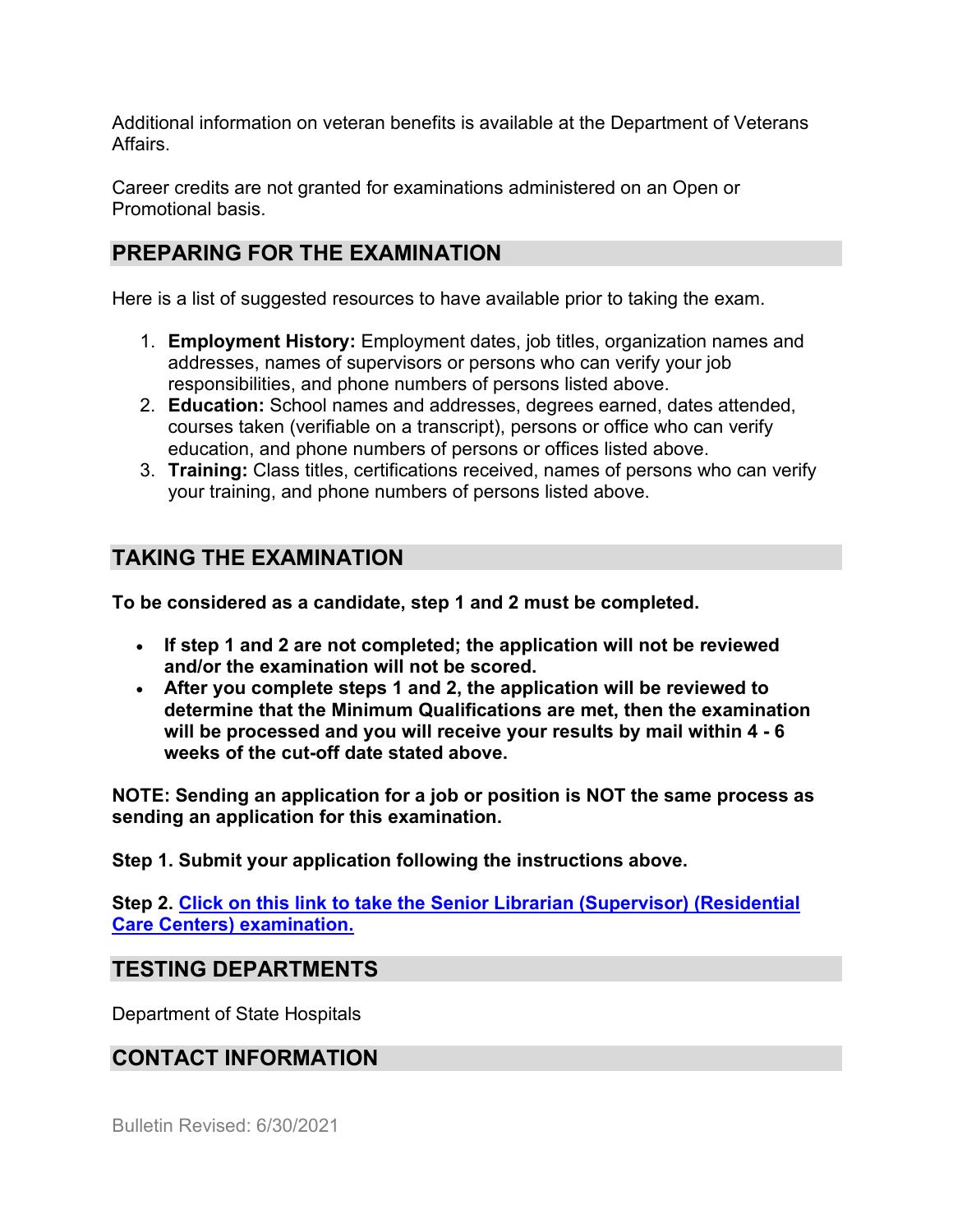Additional information on veteran benefits is available at the Department of Veterans Affairs.

Career credits are not granted for examinations administered on an Open or Promotional basis.

## **PREPARING FOR THE EXAMINATION**

Here is a list of suggested resources to have available prior to taking the exam.

- 1. **Employment History:** Employment dates, job titles, organization names and addresses, names of supervisors or persons who can verify your job responsibilities, and phone numbers of persons listed above.
- 2. **Education:** School names and addresses, degrees earned, dates attended, courses taken (verifiable on a transcript), persons or office who can verify education, and phone numbers of persons or offices listed above.
- 3. **Training:** Class titles, certifications received, names of persons who can verify your training, and phone numbers of persons listed above.

## **TAKING THE EXAMINATION**

**To be considered as a candidate, step 1 and 2 must be completed.**

- **If step 1 and 2 are not completed; the application will not be reviewed and/or the examination will not be scored.**
- **After you complete steps 1 and 2, the application will be reviewed to determine that the Minimum Qualifications are met, then the examination will be processed and you will receive your results by mail within 4 - 6 weeks of the cut-off date stated above.**

**NOTE: Sending an application for a job or position is NOT the same process as sending an application for this examination.**

**Step 1. Submit your application following the instructions above.**

**Step 2. [Click on this link to take the Senior Librarian \(Supervisor\) \(Residential](https://www.surveymonkey.com/r/YLHQK3D)  [Care Centers\) examination.](https://www.surveymonkey.com/r/YLHQK3D)**

## **TESTING DEPARTMENTS**

Department of State Hospitals

## **CONTACT INFORMATION**

Bulletin Revised: 6/30/2021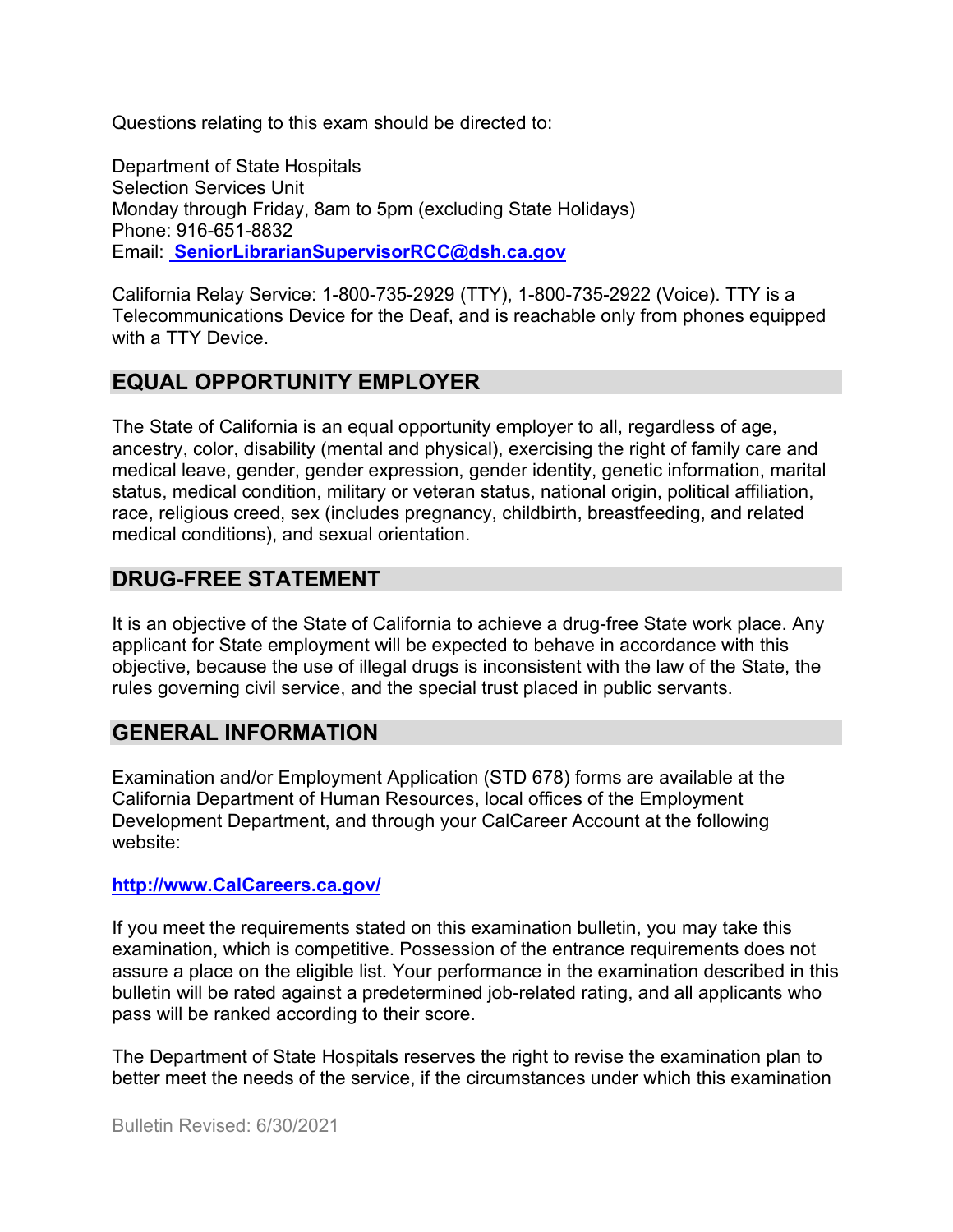Questions relating to this exam should be directed to:

Department of State Hospitals Selection Services Unit Monday through Friday, 8am to 5pm (excluding State Holidays) Phone: 916-651-8832 Email: **[SeniorLibrarianSupervisorRCC@dsh.ca.gov](mailto:%20SeniorLibrarianSupervisorRCC@dsh.ca.gov)**

California Relay Service: 1-800-735-2929 (TTY), 1-800-735-2922 (Voice). TTY is a Telecommunications Device for the Deaf, and is reachable only from phones equipped with a TTY Device.

## **EQUAL OPPORTUNITY EMPLOYER**

The State of California is an equal opportunity employer to all, regardless of age, ancestry, color, disability (mental and physical), exercising the right of family care and medical leave, gender, gender expression, gender identity, genetic information, marital status, medical condition, military or veteran status, national origin, political affiliation, race, religious creed, sex (includes pregnancy, childbirth, breastfeeding, and related medical conditions), and sexual orientation.

## **DRUG-FREE STATEMENT**

It is an objective of the State of California to achieve a drug-free State work place. Any applicant for State employment will be expected to behave in accordance with this objective, because the use of illegal drugs is inconsistent with the law of the State, the rules governing civil service, and the special trust placed in public servants.

## **GENERAL INFORMATION**

Examination and/or Employment Application (STD 678) forms are available at the California Department of Human Resources, local offices of the Employment Development Department, and through your CalCareer Account at the following website:

#### **http://www.CalCareers.ca.gov/**

If you meet the requirements stated on this examination bulletin, you may take this examination, which is competitive. Possession of the entrance requirements does not assure a place on the eligible list. Your performance in the examination described in this bulletin will be rated against a predetermined job-related rating, and all applicants who pass will be ranked according to their score.

The Department of State Hospitals reserves the right to revise the examination plan to better meet the needs of the service, if the circumstances under which this examination